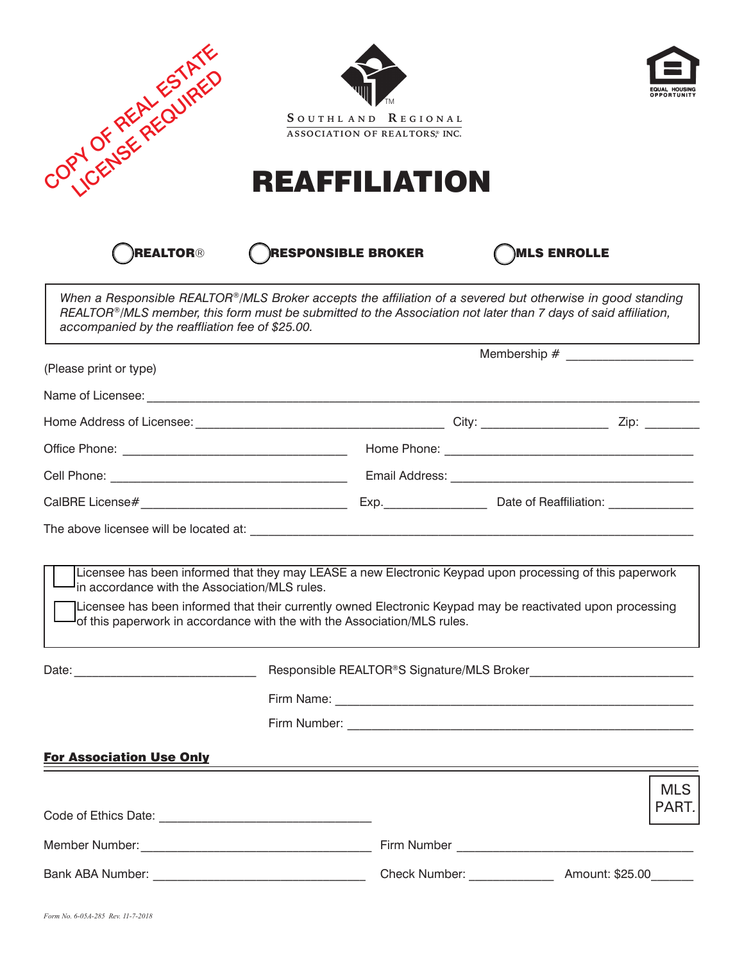| JORN OF REAL ESTATES                                                                                                                                                                                                                                                                                                                                | <b>REAFFILIATION</b>      | SOUTHLAND REGIONAL<br>ASSOCIATION OF REALTORS, INC. |                                                                                                                  |                     |  |  |
|-----------------------------------------------------------------------------------------------------------------------------------------------------------------------------------------------------------------------------------------------------------------------------------------------------------------------------------------------------|---------------------------|-----------------------------------------------------|------------------------------------------------------------------------------------------------------------------|---------------------|--|--|
| <b>REALTOR®</b>                                                                                                                                                                                                                                                                                                                                     | <b>RESPONSIBLE BROKER</b> |                                                     | <b>MLS ENROLLE</b>                                                                                               |                     |  |  |
| When a Responsible REALTOR®/MLS Broker accepts the affiliation of a severed but otherwise in good standing<br>REALTOR®/MLS member, this form must be submitted to the Association not later than 7 days of said affiliation,<br>accompanied by the reaffliation fee of \$25.00.                                                                     |                           |                                                     |                                                                                                                  |                     |  |  |
| (Please print or type)                                                                                                                                                                                                                                                                                                                              |                           | Membership # ____________________                   |                                                                                                                  |                     |  |  |
|                                                                                                                                                                                                                                                                                                                                                     |                           |                                                     |                                                                                                                  |                     |  |  |
|                                                                                                                                                                                                                                                                                                                                                     |                           |                                                     |                                                                                                                  |                     |  |  |
|                                                                                                                                                                                                                                                                                                                                                     |                           |                                                     |                                                                                                                  |                     |  |  |
|                                                                                                                                                                                                                                                                                                                                                     |                           |                                                     |                                                                                                                  |                     |  |  |
|                                                                                                                                                                                                                                                                                                                                                     |                           |                                                     |                                                                                                                  |                     |  |  |
|                                                                                                                                                                                                                                                                                                                                                     |                           |                                                     |                                                                                                                  |                     |  |  |
|                                                                                                                                                                                                                                                                                                                                                     |                           |                                                     |                                                                                                                  |                     |  |  |
| Licensee has been informed that they may LEASE a new Electronic Keypad upon processing of this paperwork<br>In accordance with the Association/MLS rules.<br>Licensee has been informed that their currently owned Electronic Keypad may be reactivated upon processing<br>of this paperwork in accordance with the with the Association/MLS rules. |                           |                                                     |                                                                                                                  |                     |  |  |
|                                                                                                                                                                                                                                                                                                                                                     |                           |                                                     |                                                                                                                  |                     |  |  |
|                                                                                                                                                                                                                                                                                                                                                     |                           |                                                     |                                                                                                                  |                     |  |  |
|                                                                                                                                                                                                                                                                                                                                                     |                           |                                                     |                                                                                                                  |                     |  |  |
| <b>For Association Use Only</b>                                                                                                                                                                                                                                                                                                                     |                           |                                                     |                                                                                                                  |                     |  |  |
|                                                                                                                                                                                                                                                                                                                                                     |                           |                                                     | and the control of the control of the control of the control of the control of the control of the control of the |                     |  |  |
|                                                                                                                                                                                                                                                                                                                                                     |                           |                                                     |                                                                                                                  | <b>MLS</b><br>PART. |  |  |
|                                                                                                                                                                                                                                                                                                                                                     |                           |                                                     |                                                                                                                  |                     |  |  |
|                                                                                                                                                                                                                                                                                                                                                     |                           |                                                     | Check Number: ___________________ Amount: \$25.00 _______                                                        |                     |  |  |
|                                                                                                                                                                                                                                                                                                                                                     |                           |                                                     |                                                                                                                  |                     |  |  |